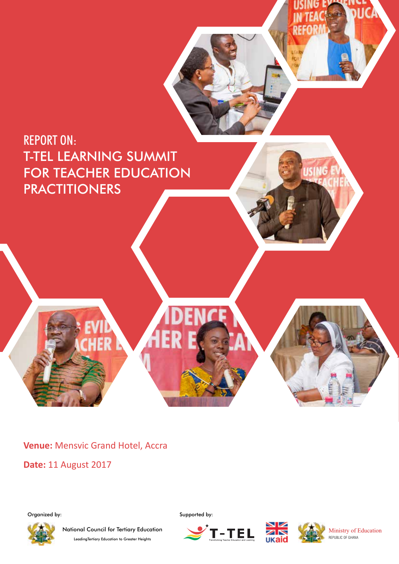

**Venue:** Mensvic Grand Hotel, Accra

**Date:** 11 August 2017

Organized by:



National Council for Tertiary Education LeadingTertiary Education to Greater Heights

Supported by:







Ministry of Education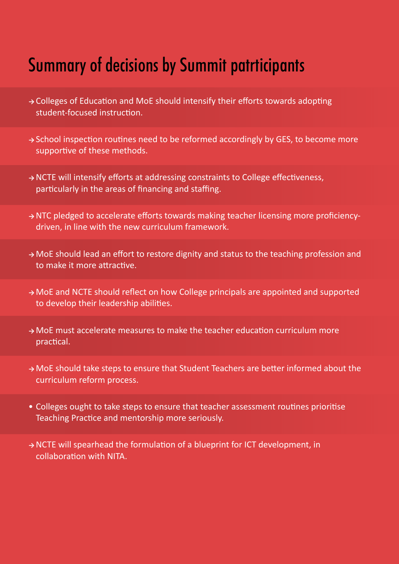## Summary of decisions by Summit patrticipants

- **→** Colleges of Education and MoE should intensify their efforts towards adopting student-focused instruction.
- **→** School inspection routines need to be reformed accordingly by GES, to become more supportive of these methods.
- **→** NCTE will intensify efforts at addressing constraints to College effectiveness, particularly in the areas of financing and staffing.
- **→** NTC pledged to accelerate efforts towards making teacher licensing more proficiencydriven, in line with the new curriculum framework.
- **→** MoE should lead an effort to restore dignity and status to the teaching profession and to make it more attractive.
- **→** MoE and NCTE should reflect on how College principals are appointed and supported to develop their leadership abilities.
- **→** MoE must accelerate measures to make the teacher education curriculum more practical.
- **→** MoE should take steps to ensure that Student Teachers are better informed about the curriculum reform process.
- Colleges ought to take steps to ensure that teacher assessment routines prioritise Teaching Practice and mentorship more seriously.
- **→** NCTE will spearhead the formulation of a blueprint for ICT development, in collaboration with NITA.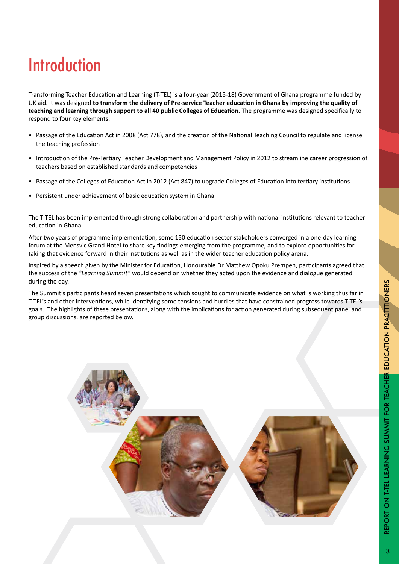## **Introduction**

Transforming Teacher Education and Learning (T-TEL) is a four-year (2015-18) Government of Ghana programme funded by UK aid. It was designed **to transform the delivery of Pre-service Teacher education in Ghana by improving the quality of teaching and learning through support to all 40 public Colleges of Education.** The programme was designed specifically to respond to four key elements:

- Passage of the Education Act in 2008 (Act 778), and the creation of the National Teaching Council to regulate and license the teaching profession
- Introduction of the Pre-Tertiary Teacher Development and Management Policy in 2012 to streamline career progression of teachers based on established standards and competencies
- Passage of the Colleges of Education Act in 2012 (Act 847) to upgrade Colleges of Education into tertiary institutions
- Persistent under achievement of basic education system in Ghana

The T-TEL has been implemented through strong collaboration and partnership with national institutions relevant to teacher education in Ghana.

After two years of programme implementation, some 150 education sector stakeholders converged in a one-day learning forum at the Mensvic Grand Hotel to share key findings emerging from the programme, and to explore opportunities for taking that evidence forward in their institutions as well as in the wider teacher education policy arena.

Inspired by a speech given by the Minister for Education, Honourable Dr Matthew Opoku Prempeh, participants agreed that the success of the *"Learning Summit"* would depend on whether they acted upon the evidence and dialogue generated during the day.

The Summit's participants heard seven presentations which sought to communicate evidence on what is working thus far in T-TEL's and other interventions, while identifying some tensions and hurdles that have constrained progress towards T-TEL's goals. The highlights of these presentations, along with the implications for action generated during subsequent panel and group discussions, are reported below.

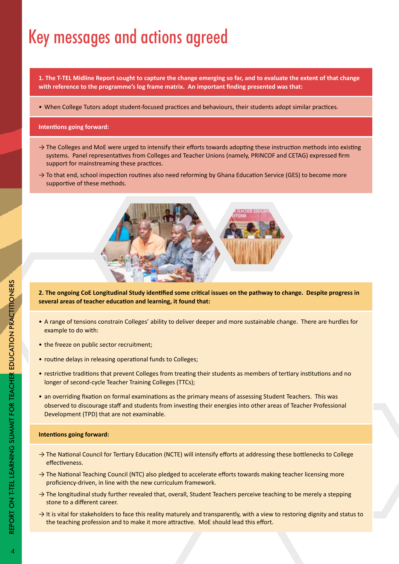# Key messages and actions agreed

**1. The T-TEL Midline Report sought to capture the change emerging so far, and to evaluate the extent of that change with reference to the programme's log frame matrix. An important finding presented was that:**

• When College Tutors adopt student-focused practices and behaviours, their students adopt similar practices.

#### **Intentions going forward:**

- $\rightarrow$  The Colleges and MoE were urged to intensify their efforts towards adopting these instruction methods into existing systems. Panel representatives from Colleges and Teacher Unions (namely, PRINCOF and CETAG) expressed firm support for mainstreaming these practices.
- $\rightarrow$  To that end, school inspection routines also need reforming by Ghana Education Service (GES) to become more supportive of these methods.



### **2. The ongoing CoE Longitudinal Study identified some critical issues on the pathway to change. Despite progress in several areas of teacher education and learning, it found that:**

- A range of tensions constrain Colleges' ability to deliver deeper and more sustainable change. There are hurdles for example to do with:
- the freeze on public sector recruitment;
- routine delays in releasing operational funds to Colleges;
- restrictive traditions that prevent Colleges from treating their students as members of tertiary institutions and no longer of second-cycle Teacher Training Colleges (TTCs);
- an overriding fixation on formal examinations as the primary means of assessing Student Teachers. This was observed to discourage staff and students from investing their energies into other areas of Teacher Professional Development (TPD) that are not examinable.

#### **Intentions going forward:**

- → The National Council for Tertiary Education (NCTE) will intensify efforts at addressing these bottlenecks to College effectiveness.
- → The National Teaching Council (NTC) also pledged to accelerate efforts towards making teacher licensing more proficiency-driven, in line with the new curriculum framework.
- → The longitudinal study further revealed that, overall, Student Teachers perceive teaching to be merely a stepping stone to a different career.
- $\rightarrow$  It is vital for stakeholders to face this reality maturely and transparently, with a view to restoring dignity and status to the teaching profession and to make it more attractive. MoE should lead this effort.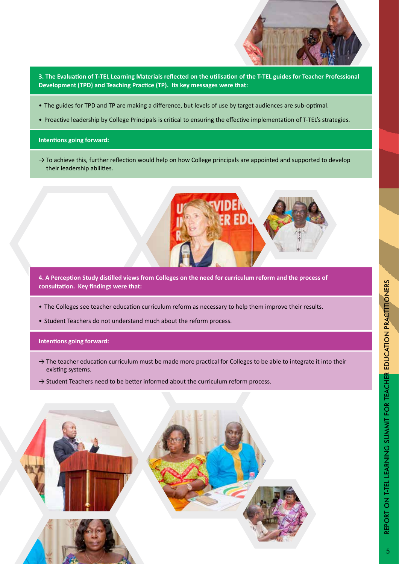

**3. The Evaluation of T-TEL Learning Materials reflected on the utilisation of the T-TEL guides for Teacher Professional Development (TPD) and Teaching Practice (TP). Its key messages were that:**

- The guides for TPD and TP are making a difference, but levels of use by target audiences are sub-optimal.
- Proactive leadership by College Principals is critical to ensuring the effective implementation of T-TEL's strategies.

#### **Intentions going forward:**

 $\rightarrow$  To achieve this, further reflection would help on how College principals are appointed and supported to develop their leadership abilities.



**4. A Perception Study distilled views from Colleges on the need for curriculum reform and the process of consultation. Key findings were that:**

- The Colleges see teacher education curriculum reform as necessary to help them improve their results.
- Student Teachers do not understand much about the reform process.

#### **Intentions going forward:**

- $\rightarrow$  The teacher education curriculum must be made more practical for Colleges to be able to integrate it into their existing systems.
- $\rightarrow$  Student Teachers need to be better informed about the curriculum reform process.

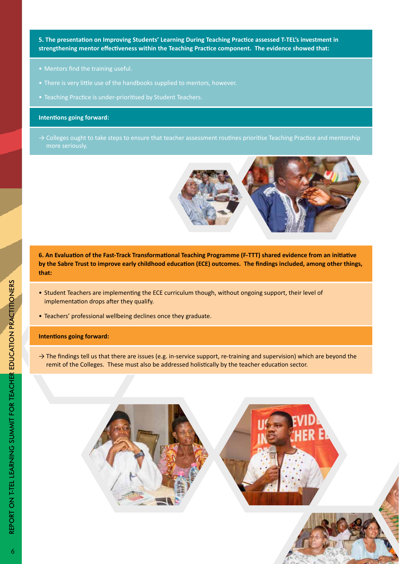**5. The presentation on Improving Students' Learning During Teaching Practice assessed T-TEL's investment in strengthening mentor effectiveness within the Teaching Practice component. The evidence showed that:**

- Mentors find the training useful.
- There is very little use of the handbooks supplied to mentors, however.
- Teaching Practice is under-prioritised by Student Teachers.

### **Intentions going forward:**

 $\rightarrow$  Colleges ought to take steps to ensure that teacher assessment routines prioritise Teaching Practice and mentorship



**6. An Evaluation of the Fast-Track Transformational Teaching Programme (F-TTT) shared evidence from an initiative by the Sabre Trust to improve early childhood education (ECE) outcomes. The findings included, among other things, that:**

- Student Teachers are implementing the ECE curriculum though, without ongoing support, their level of implementation drops after they qualify.
- Teachers' professional wellbeing declines once they graduate.

#### **Intentions going forward:**

→ The findings tell us that there are issues (e.g. in-service support, re-training and supervision) which are beyond the remit of the Colleges. These must also be addressed holistically by the teacher education sector.

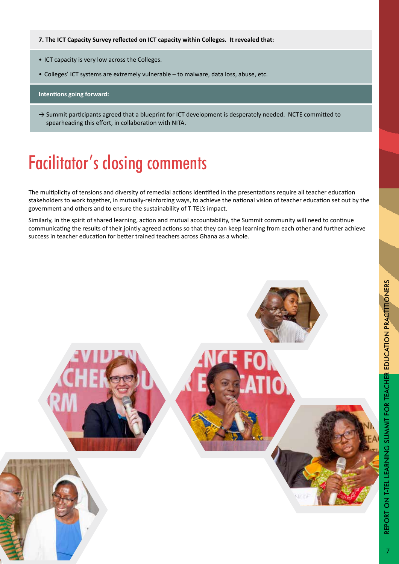#### **7. The ICT Capacity Survey reflected on ICT capacity within Colleges. It revealed that:**

- ICT capacity is very low across the Colleges.
- Colleges' ICT systems are extremely vulnerable to malware, data loss, abuse, etc.

#### **Intentions going forward:**

 $\rightarrow$  Summit participants agreed that a blueprint for ICT development is desperately needed. NCTE committed to spearheading this effort, in collaboration with NITA.

# Facilitator's closing comments

The multiplicity of tensions and diversity of remedial actions identified in the presentations require all teacher education stakeholders to work together, in mutually-reinforcing ways, to achieve the national vision of teacher education set out by the government and others and to ensure the sustainability of T-TEL's impact.

Similarly, in the spirit of shared learning, action and mutual accountability, the Summit community will need to continue communicating the results of their jointly agreed actions so that they can keep learning from each other and further achieve success in teacher education for better trained teachers across Ghana as a whole.